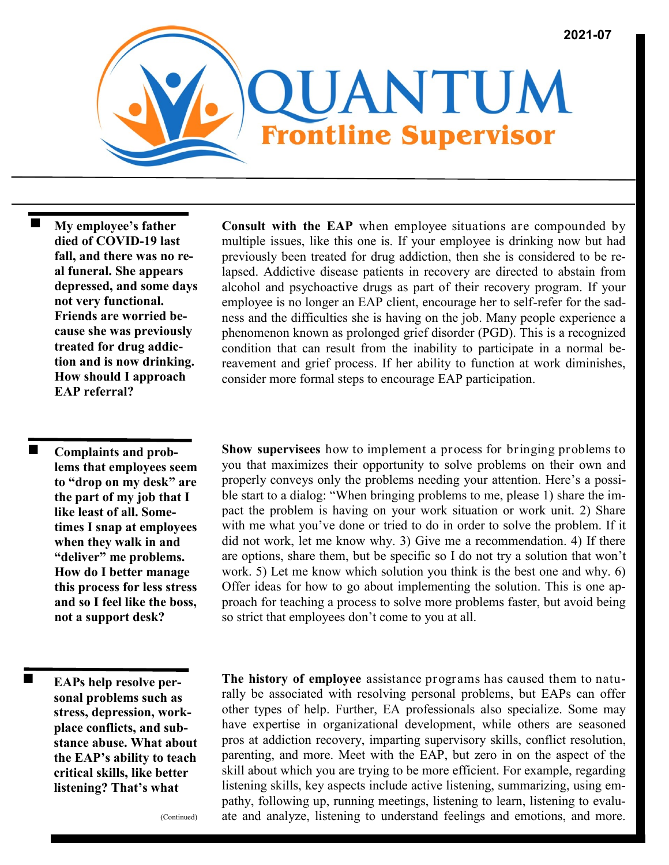

 **My employee's father died of COVID-19 last fall, and there was no real funeral. She appears depressed, and some days not very functional. Friends are worried because she was previously treated for drug addiction and is now drinking. How should I approach EAP referral?**

 **Complaints and problems that employees seem to "drop on my desk" are the part of my job that I like least of all. Sometimes I snap at employees when they walk in and "deliver" me problems. How do I better manage this process for less stress and so I feel like the boss, not a support desk?** 

**EAPs help resolve personal problems such as stress, depression, workplace conflicts, and substance abuse. What about the EAP's ability to teach critical skills, like better listening? That's what** 

**Consult with the EAP** when employee situations are compounded by multiple issues, like this one is. If your employee is drinking now but had previously been treated for drug addiction, then she is considered to be relapsed. Addictive disease patients in recovery are directed to abstain from alcohol and psychoactive drugs as part of their recovery program. If your employee is no longer an EAP client, encourage her to self-refer for the sadness and the difficulties she is having on the job. Many people experience a phenomenon known as prolonged grief disorder (PGD). This is a recognized condition that can result from the inability to participate in a normal bereavement and grief process. If her ability to function at work diminishes, consider more formal steps to encourage EAP participation.

**Show supervisees** how to implement a process for bringing problems to you that maximizes their opportunity to solve problems on their own and properly conveys only the problems needing your attention. Here's a possible start to a dialog: "When bringing problems to me, please 1) share the impact the problem is having on your work situation or work unit. 2) Share with me what you've done or tried to do in order to solve the problem. If it did not work, let me know why. 3) Give me a recommendation. 4) If there are options, share them, but be specific so I do not try a solution that won't work. 5) Let me know which solution you think is the best one and why. 6) Offer ideas for how to go about implementing the solution. This is one approach for teaching a process to solve more problems faster, but avoid being so strict that employees don't come to you at all.

**The history of employee** assistance programs has caused them to naturally be associated with resolving personal problems, but EAPs can offer other types of help. Further, EA professionals also specialize. Some may have expertise in organizational development, while others are seasoned pros at addiction recovery, imparting supervisory skills, conflict resolution, parenting, and more. Meet with the EAP, but zero in on the aspect of the skill about which you are trying to be more efficient. For example, regarding listening skills, key aspects include active listening, summarizing, using empathy, following up, running meetings, listening to learn, listening to evaluate and analyze, listening to understand feelings and emotions, and more.

(Continued)